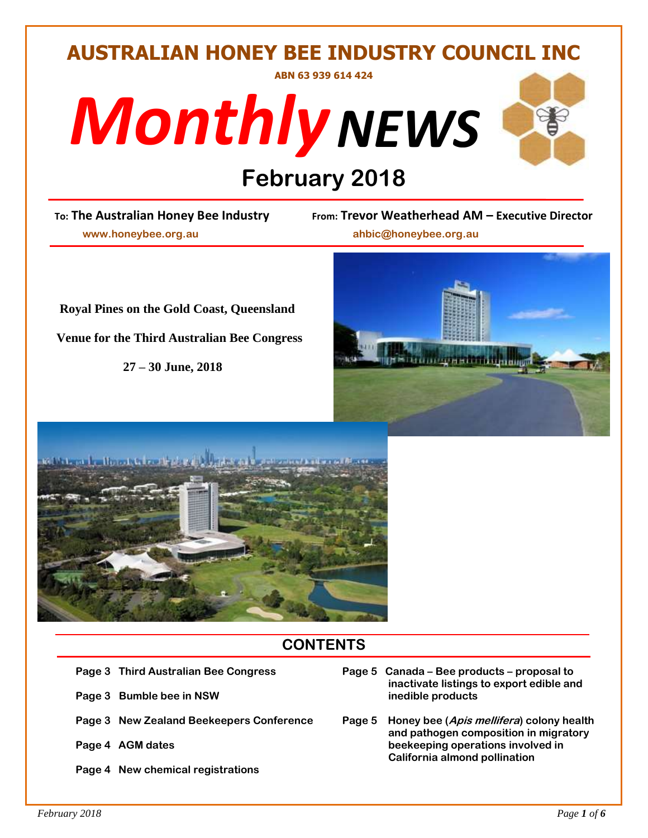# **AUSTRALIAN HONEY BEE INDUSTRY COUNCIL INC ABN 63 939 614 424**





# **February 2018**<br>
<u>Prom:</u> Trevor Wear

 **www.honeybee.org.au ahbic@honeybee.org.au**

**To: The Australian Honey Bee Industry From: Trevor Weatherhead AM – Executive Director**



 **Venue for the Third Australian Bee Congress**

 **27 – 30 June, 2018**





# **CONTENTS**

- 
- **Page 3** Bumble bee in NSW inedible products
- 
- 
- **Page 4 New chemical registrations**
- **Page 3 Third Australian Bee Congress Page 5 Canada – Bee products – proposal to inactivate listings to export edible and**
- **Page 3 New Zealand Beekeepers Conference Page 5 Honey bee (Apis mellifera) colony health and pathogen composition in migratory** Page 4 AGM dates **beekeeping operations involved in California almond pollination**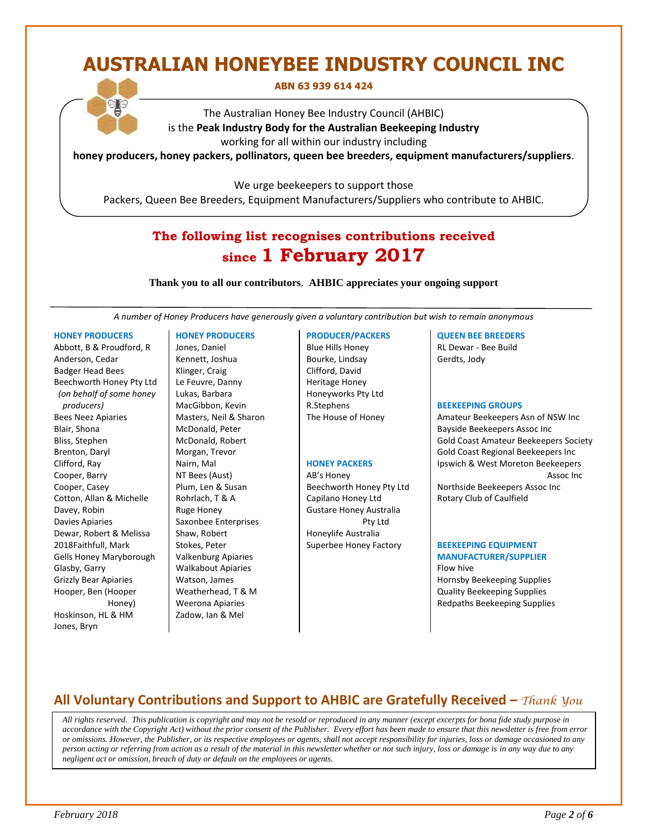# **AUSTRALIAN HONEYBEE INDUSTRY COUNCIL INC**

#### **ABN 63 939 614 424**

The Australian Honey Bee Industry Council (AHBIC) is the **Peak Industry Body for the Australian Beekeeping Industry** working for all within our industry including

**honey producers, honey packers, pollinators, queen bee breeders, equipment manufacturers/suppliers**.

We urge beekeepers to support those

Packers, Queen Bee Breeders, Equipment Manufacturers/Suppliers who contribute to AHBIC.

# **The following list recognises contributions received since 1 February 2017**

**Thank you to all our contributors***.* **AHBIC appreciates your ongoing support**

*A number of Honey Producers have generously given a voluntary contribution but wish to remain anonymous*

#### **HONEY PRODUCERS**

Abbott, B & Proudford, R Anderson, Cedar Badger Head Bees Beechworth Honey Pty Ltd *(on behalf of some honey producers)* Bees Neez Apiaries Blair, Shona Bliss, Stephen Brenton, Daryl Clifford, Ray Cooper, Barry Cooper, Casey Cotton, Allan & Michelle Davey, Robin Davies Apiaries Dewar, Robert & Melissa 2018Faithfull, Mark Gells Honey Maryborough Glasby, Garry Grizzly Bear Apiaries Hooper, Ben (Hooper Honey) Hoskinson, HL & HM Jones, Bryn

#### **HONEY PRODUCERS**

Jones, Daniel Kennett, Joshua Klinger, Craig Le Feuvre, Danny Lukas, Barbara MacGibbon, Kevin Masters, Neil & Sharon McDonald, Peter McDonald, Robert Morgan, Trevor Nairn, Mal NT Bees (Aust) Plum, Len & Susan Rohrlach, T & A Ruge Honey Saxonbee Enterprises Shaw, Robert Stokes, Peter Valkenburg Apiaries Walkabout Apiaries Watson, James Weatherhead, T & M Weerona Apiaries Zadow, Ian & Mel

#### **PRODUCER/PACKERS**

Blue Hills Honey Bourke, Lindsay Clifford, David Heritage Honey Honeyworks Pty Ltd R.Stephens The House of Honey

#### **HONEY PACKERS**

AB's Honey Beechworth Honey Pty Ltd Capilano Honey Ltd Gustare Honey Australia Pty Ltd Honeylife Australia Superbee Honey Factory

#### **QUEEN BEE BREEDERS**

RL Dewar - Bee Build Gerdts, Jody

#### **BEEKEEPING GROUPS**

Amateur Beekeepers Asn of NSW Inc Bayside Beekeepers Assoc Inc Gold Coast Amateur Beekeepers Society Gold Coast Regional Beekeepers Inc Ipswich & West Moreton Beekeepers Assoc Inc Northside Beekeepers Assoc Inc Rotary Club of Caulfield

#### **BEEKEEPING EQUIPMENT MANUFACTURER/SUPPLIER**

Flow hive Hornsby Beekeeping Supplies Quality Beekeeping Supplies Redpaths Beekeeping Supplies

# **All Voluntary Contributions and Support to AHBIC are Gratefully Received –** *Thank You*

 *All rights reserved. This publication is copyright and may not be resold or reproduced in any manner (except excerpts for bona fide study purpose in accordance with the Copyright Act) without the prior consent of the Publisher. Every effort has been made to ensure that this newsletter is free from error or omissions. However, the Publisher, or its respective employees or agents, shall not accept responsibility for injuries, loss or damage occasioned to any person acting or referring from action as a result of the material in this newsletter whether or not such injury, loss or damage is in any way due to any negligent act or omission, breach of duty or default on the employees or agents.*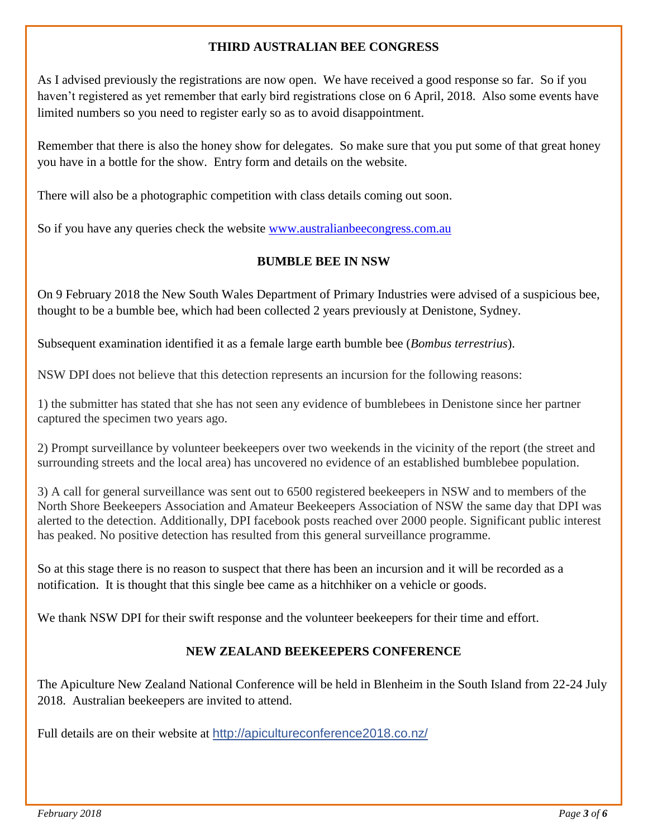# **THIRD AUSTRALIAN BEE CONGRESS**

As I advised previously the registrations are now open. We have received a good response so far. So if you haven't registered as yet remember that early bird registrations close on 6 April, 2018. Also some events have limited numbers so you need to register early so as to avoid disappointment.

Remember that there is also the honey show for delegates. So make sure that you put some of that great honey you have in a bottle for the show. Entry form and details on the website.

There will also be a photographic competition with class details coming out soon.

So if you have any queries check the website [www.australianbeecongress.com.au](http://www.australianbeecongress.com.au/)

# **BUMBLE BEE IN NSW**

On 9 February 2018 the New South Wales Department of Primary Industries were advised of a suspicious bee, thought to be a bumble bee, which had been collected 2 years previously at Denistone, Sydney.

Subsequent examination identified it as a female large earth bumble bee (*Bombus terrestrius*).

NSW DPI does not believe that this detection represents an incursion for the following reasons:

1) the submitter has stated that she has not seen any evidence of bumblebees in Denistone since her partner captured the specimen two years ago.

2) Prompt surveillance by volunteer beekeepers over two weekends in the vicinity of the report (the street and surrounding streets and the local area) has uncovered no evidence of an established bumblebee population.

3) A call for general surveillance was sent out to 6500 registered beekeepers in NSW and to members of the North Shore Beekeepers Association and Amateur Beekeepers Association of NSW the same day that DPI was alerted to the detection. Additionally, DPI facebook posts reached over 2000 people. Significant public interest has peaked. No positive detection has resulted from this general surveillance programme.

So at this stage there is no reason to suspect that there has been an incursion and it will be recorded as a notification. It is thought that this single bee came as a hitchhiker on a vehicle or goods.

We thank NSW DPI for their swift response and the volunteer beekeepers for their time and effort.

# **NEW ZEALAND BEEKEEPERS CONFERENCE**

The Apiculture New Zealand National Conference will be held in Blenheim in the South Island from 22-24 July 2018. Australian beekeepers are invited to attend.

Full details are on their website at <http://apicultureconference2018.co.nz/>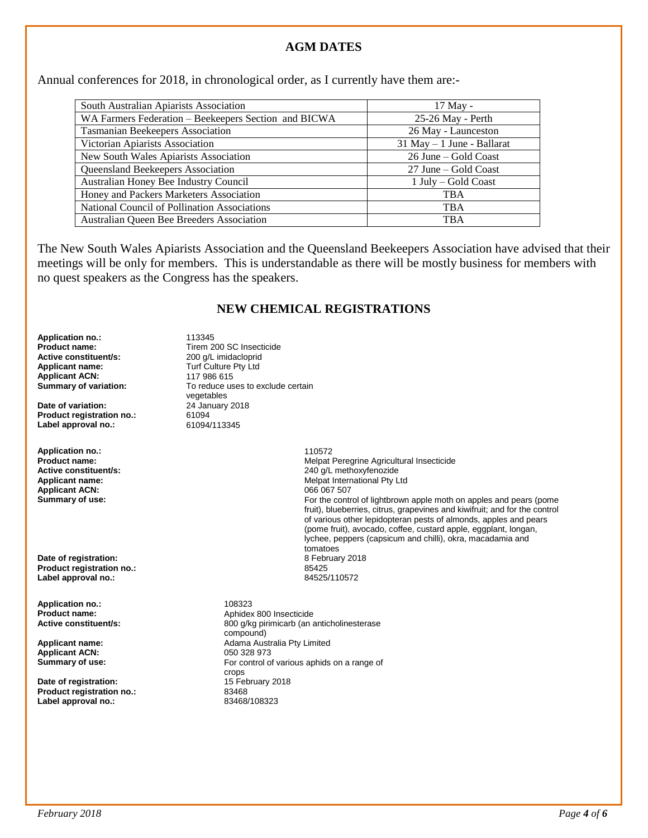## **AGM DATES**

Annual conferences for 2018, in chronological order, as I currently have them are:-

| South Australian Apiarists Association               | 17 May -                      |
|------------------------------------------------------|-------------------------------|
| WA Farmers Federation – Beekeepers Section and BICWA | 25-26 May - Perth             |
| Tasmanian Beekeepers Association                     | 26 May - Launceston           |
| Victorian Apiarists Association                      | $31$ May $-1$ June - Ballarat |
| New South Wales Apiarists Association                | 26 June – Gold Coast          |
| Queensland Beekeepers Association                    | 27 June – Gold Coast          |
| Australian Honey Bee Industry Council                | 1 July – Gold Coast           |
| Honey and Packers Marketers Association              | <b>TBA</b>                    |
| National Council of Pollination Associations         | <b>TBA</b>                    |
| Australian Queen Bee Breeders Association            | <b>TBA</b>                    |

The New South Wales Apiarists Association and the Queensland Beekeepers Association have advised that their meetings will be only for members. This is understandable as there will be mostly business for members with no quest speakers as the Congress has the speakers.

### **NEW CHEMICAL REGISTRATIONS**

**Application no.:** 113345 **Active constituent/s:** 200 g/L imidacloprid<br> **Applicant name:** Turf Culture Pty Ltd **Applicant ACN:** 117 986 615<br> **Summary of variation:** To reduce us

**Date of variation: Product registration no.:** 61094<br> **Label approval no.:** 61094/113345 **Label approval no.:** 

**Application no.:** 110572 Applicant ACN:<br>Summary of use:

**Date of registration:** 8 February 2018 **Product registration no.: Label approval no.:** 84525/110572

**Application no.:** 108323<br>**Product name:** 2021 2022 2022 2024 2024

**Applicant ACN:** 050 328 973<br> **Summary of use:** 6. The Control of The Control of The Control of The Control of The Control of The Control of The Control of The Control of The Control of The Control of The Control of The Co

**Date of registration: 15 February 2018**<br> **Product registration no.:** 83468 **Product registration no.:** 83468<br>
Label approval no.: 83468/108323 **Label approval no.:** 

**Product name:** Tirem 200 SC Insecticide **Turf Culture Pty Ltd** To reduce uses to exclude certain vegetables<br>24 January 2018

**Product name: Product name: Melpat Peregrine Agricultural Insecticide**<br> **Active constituent/s:** 240 q/L methoxyfenozide **Active constituent/s:** <br>**Applicant name:** <br>**Applicant name:** <br>**Applicant name:** <br>**Applicant name:** <br>**Applicant name:** <br>**Applicant name:** <br>**Applicant name:** <br>**Applicant Applicant Applicant Applicant Applicant App** Melpat International Pty Ltd<br>066 067 507 For the control of lightbrown apple moth on apples and pears (pome fruit), blueberries, citrus, grapevines and kiwifruit; and for the control of various other lepidopteran pests of almonds, apples and pears (pome fruit), avocado, coffee, custard apple, eggplant, longan, lychee, peppers (capsicum and chilli), okra, macadamia and tomatoes<br>8 February 2018

**Product name: Aphidex 800 Insecticide**<br> **Active constituent/s:** 800 a/ka pirimicarb (an a **Active constituent/s:** 800 g/kg pirimicarb (an anticholinesterase compound) **Applicant name: Adama Australia Pty Limited** For control of various aphids on a range of crops<br>15 February 2018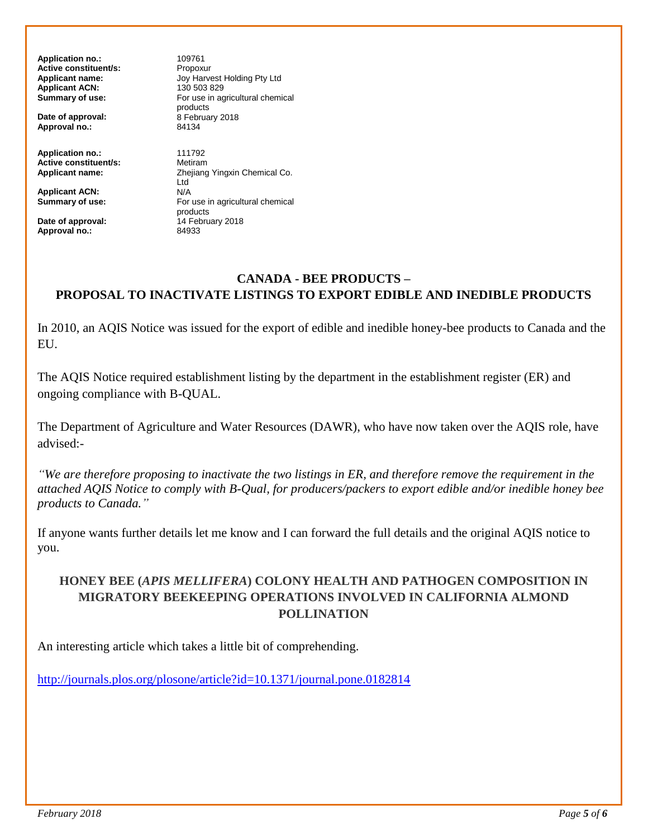**Application no.:** 109761 **Active constituent/s:** Propoxur<br> **Applicant name:** Jov Harve **Applicant ACN:** 130 503 829<br> **Summary of use:** For use in a

**Date of approval:** 8 February 2018<br> **Approval no.:** 24134 Approval no.:

**Application no.:** 111792<br> **Active constituent/s:** Metiram **Active constituent/s:**<br>Applicant name:

**Applicant ACN:**<br>Summary of use:

**Date of approval:** <sup>14</sup> February 2018 **Approval no.:** 84933

**Applicant name:** Joy Harvest Holding Pty Ltd For use in agricultural chemical products<br>8 February 2018

**Zheijang Yingxin Chemical Co.** Ltd<br>N/A **Summary of use:** For use in agricultural chemical products

# **CANADA - BEE PRODUCTS – PROPOSAL TO INACTIVATE LISTINGS TO EXPORT EDIBLE AND INEDIBLE PRODUCTS**

In 2010, an AQIS Notice was issued for the export of edible and inedible honey-bee products to Canada and the EU.

The AQIS Notice required establishment listing by the department in the establishment register (ER) and ongoing compliance with B-QUAL.

The Department of Agriculture and Water Resources (DAWR), who have now taken over the AQIS role, have advised:-

*"We are therefore proposing to inactivate the two listings in ER, and therefore remove the requirement in the attached AQIS Notice to comply with B-Qual, for producers/packers to export edible and/or inedible honey bee products to Canada."*

If anyone wants further details let me know and I can forward the full details and the original AQIS notice to you.

# **HONEY BEE (***APIS MELLIFERA***) COLONY HEALTH AND PATHOGEN COMPOSITION IN MIGRATORY BEEKEEPING OPERATIONS INVOLVED IN CALIFORNIA ALMOND POLLINATION**

An interesting article which takes a little bit of comprehending.

<http://journals.plos.org/plosone/article?id=10.1371/journal.pone.0182814>